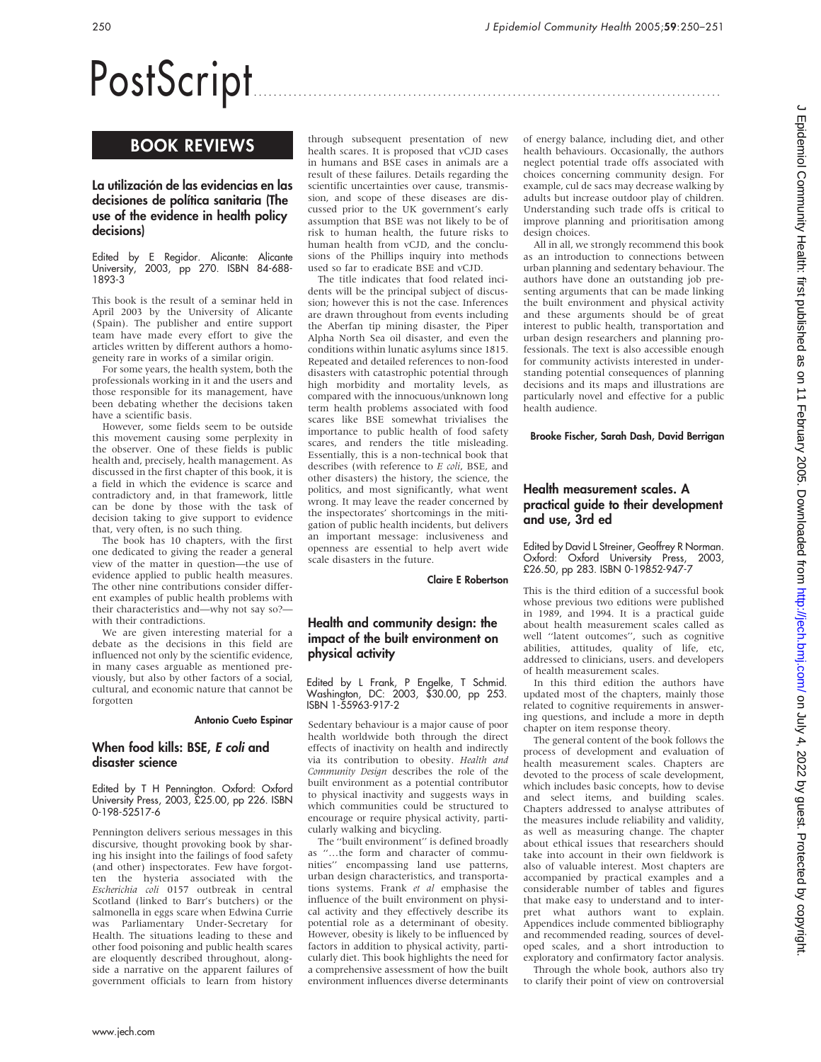# PostScript

# BOOK REVIEWS

## La utilización de las evidencias en las decisiones de política sanitaria (The use of the evidence in health policy decisions)

Edited by E Regidor. Alicante: Alicante University, 2003, pp 270. ISBN 84-688- 1893-3

This book is the result of a seminar held in April 2003 by the University of Alicante (Spain). The publisher and entire support team have made every effort to give the articles written by different authors a homogeneity rare in works of a similar origin.

For some years, the health system, both the professionals working in it and the users and those responsible for its management, have been debating whether the decisions taken have a scientific basis.

However, some fields seem to be outside this movement causing some perplexity in the observer. One of these fields is public health and, precisely, health management. As discussed in the first chapter of this book, it is a field in which the evidence is scarce and contradictory and, in that framework, little can be done by those with the task of decision taking to give support to evidence that, very often, is no such thing.

The book has 10 chapters, with the first one dedicated to giving the reader a general view of the matter in question—the use of evidence applied to public health measures. The other nine contributions consider different examples of public health problems with their characteristics and—why not say so? with their contradictions.

We are given interesting material for a debate as the decisions in this field are influenced not only by the scientific evidence, in many cases arguable as mentioned previously, but also by other factors of a social, cultural, and economic nature that cannot be forgotten

#### Antonio Cueto Espinar

### When food kills: BSE, E coli and disaster science

Edited by T H Pennington. Oxford: Oxford University Press, 2003, £25.00, pp 226. ISBN 0-198-52517-6

Pennington delivers serious messages in this discursive, thought provoking book by sharing his insight into the failings of food safety (and other) inspectorates. Few have forgotten the hysteria associated with the Escherichia coli 0157 outbreak in central Scotland (linked to Barr's butchers) or the salmonella in eggs scare when Edwina Currie was Parliamentary Under-Secretary for Health. The situations leading to these and other food poisoning and public health scares are eloquently described throughout, alongside a narrative on the apparent failures of government officials to learn from history

through subsequent presentation of new health scares. It is proposed that vCJD cases in humans and BSE cases in animals are a result of these failures. Details regarding the scientific uncertainties over cause, transmission, and scope of these diseases are discussed prior to the UK government's early assumption that BSE was not likely to be of risk to human health, the future risks to human health from vCJD, and the conclusions of the Phillips inquiry into methods used so far to eradicate BSE and vCJD.

The title indicates that food related incidents will be the principal subject of discussion; however this is not the case. Inferences are drawn throughout from events including the Aberfan tip mining disaster, the Piper Alpha North Sea oil disaster, and even the conditions within lunatic asylums since 1815. Repeated and detailed references to non-food disasters with catastrophic potential through high morbidity and mortality levels, as compared with the innocuous/unknown long term health problems associated with food scares like BSE somewhat trivialises the importance to public health of food safety scares, and renders the title misleading. Essentially, this is a non-technical book that describes (with reference to E coli, BSE, and other disasters) the history, the science, the politics, and most significantly, what went wrong. It may leave the reader concerned by the inspectorates' shortcomings in the mitigation of public health incidents, but delivers an important message: inclusiveness and openness are essential to help avert wide scale disasters in the future.

Claire E Robertson

## Health and community design: the impact of the built environment on physical activity

Edited by L Frank, P Engelke, T Schmid. Washington, DC: 2003, \$30.00, pp 253. ISBN 1-55963-917-2

Sedentary behaviour is a major cause of poor health worldwide both through the direct effects of inactivity on health and indirectly via its contribution to obesity. Health and Community Design describes the role of the built environment as a potential contributor to physical inactivity and suggests ways in which communities could be structured to encourage or require physical activity, particularly walking and bicycling.

The ''built environment'' is defined broadly as ''…the form and character of communities'' encompassing land use patterns, urban design characteristics, and transportations systems. Frank et al emphasise the influence of the built environment on physical activity and they effectively describe its potential role as a determinant of obesity. However, obesity is likely to be influenced by factors in addition to physical activity, particularly diet. This book highlights the need for a comprehensive assessment of how the built environment influences diverse determinants of energy balance, including diet, and other health behaviours. Occasionally, the authors neglect potential trade offs associated with choices concerning community design. For example, cul de sacs may decrease walking by adults but increase outdoor play of children. Understanding such trade offs is critical to improve planning and prioritisation among design choices.

All in all, we strongly recommend this book as an introduction to connections between urban planning and sedentary behaviour. The authors have done an outstanding job presenting arguments that can be made linking the built environment and physical activity and these arguments should be of great interest to public health, transportation and urban design researchers and planning professionals. The text is also accessible enough for community activists interested in understanding potential consequences of planning decisions and its maps and illustrations are particularly novel and effective for a public health audience.

Brooke Fischer, Sarah Dash, David Berrigan

# Health measurement scales. A practical guide to their development and use, 3rd ed

Edited by David L Streiner, Geoffrey R Norman. Oxford: Oxford University Press, 2003, £26.50, pp 283. ISBN 0-19852-947-7

This is the third edition of a successful book whose previous two editions were published in 1989, and 1994. It is a practical guide about health measurement scales called as well ''latent outcomes'', such as cognitive abilities, attitudes, quality of life, etc, addressed to clinicians, users. and developers of health measurement scales.

In this third edition the authors have updated most of the chapters, mainly those related to cognitive requirements in answering questions, and include a more in depth chapter on item response theory.

The general content of the book follows the process of development and evaluation of health measurement scales. Chapters are devoted to the process of scale development, which includes basic concepts, how to devise and select items, and building scales. Chapters addressed to analyse attributes of the measures include reliability and validity, as well as measuring change. The chapter about ethical issues that researchers should take into account in their own fieldwork is also of valuable interest. Most chapters are accompanied by practical examples and a considerable number of tables and figures that make easy to understand and to interpret what authors want to explain. Appendices include commented bibliography and recommended reading, sources of developed scales, and a short introduction to exploratory and confirmatory factor analysis.

Through the whole book, authors also try to clarify their point of view on controversial